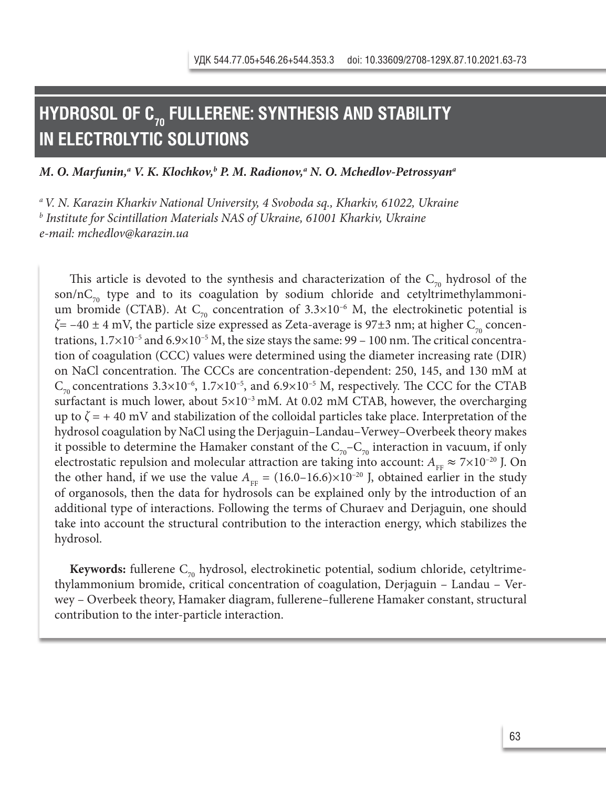# **HYDROSOL OF C70 FULLERENE: SYNTHESIS AND STABILITY IN ELECTROLYTIC SOLUTIONS**

M. O. Marfunin,ª V. K. Klochkov,<sup>ь</sup> P. M. Radionov,ª N. O. Mchedlov-Petrossyanª

*a V. N. Karazin Kharkiv National University, 4 Svoboda sq., Kharkiv, 61022, Ukraine b Institute for Scintillation Materials NAS of Ukraine, 61001 Kharkіv, Ukraine e-mail: mchedlov@karazin.ua*

This article is devoted to the synthesis and characterization of the  $C_{70}$  hydrosol of the son/n $C_{70}$  type and to its coagulation by sodium chloride and cetyltrimethylammonium bromide (CTAB). At  $C_{70}$  concentration of 3.3×10<sup>-6</sup> M, the electrokinetic potential is *ζ*= −40 ± 4 mV, the particle size expressed as Zeta-average is 97±3 nm; at higher C<sub>70</sub> concentrations,  $1.7\times10^{-5}$  and  $6.9\times10^{-5}$  M, the size stays the same:  $99 - 100$  nm. The critical concentration of coagulation (CCC) values were determined using the diameter increasing rate (DIR) on NaCl concentration. The CCCs are concentration-dependent: 250, 145, and 130 mM at  $C_{70}$  concentrations 3.3×10<sup>-6</sup>, 1.7×10<sup>-5</sup>, and 6.9×10<sup>-5</sup> M, respectively. The CCC for the CTAB surfactant is much lower, about  $5\times10^{-3}$  mM. At 0.02 mM CTAB, however, the overcharging up to  $\zeta = +40$  mV and stabilization of the colloidal particles take place. Interpretation of the hydrosol coagulation by NaCl using the Derjaguin–Landau–Verwey–Overbeek theory makes it possible to determine the Hamaker constant of the  $C_{70}$ – $C_{70}$  interaction in vacuum, if only electrostatic repulsion and molecular attraction are taking into account:  $A_{\text{FF}} \approx 7 \times 10^{-20}$  J. On the other hand, if we use the value  $A_{FF} = (16.0-16.6) \times 10^{-20}$  J, obtained earlier in the study of organosols, then the data for hydrosols can be explained only by the introduction of an additional type of interactions. Following the terms of Churaev and Derjaguin, one should take into account the structural contribution to the interaction energy, which stabilizes the hydrosol.

**Keywords:** fullerene C<sub>70</sub> hydrosol, electrokinetic potential, sodium chloride, cetyltrimethylammonium bromide, critical concentration of coagulation, Derjaguin – Landau – Verwey – Overbeek theory, Hamaker diagram, fullerene–fullerene Hamaker constant, structural contribution to the inter-particle interaction.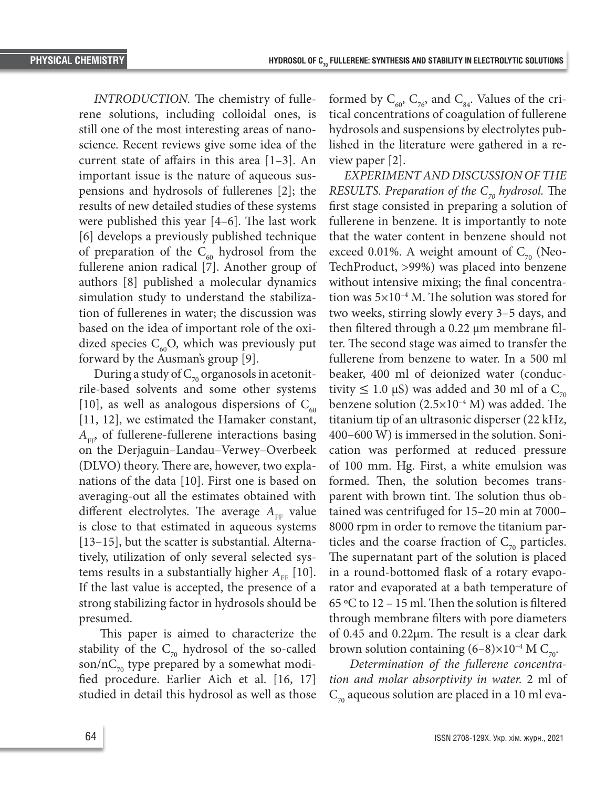*INTRODUCTION.* The chemistry of fullerene solutions, including colloidal ones, is still one of the most interesting areas of nanoscience. Recent reviews give some idea of the current state of affairs in this area [1–3]. An important issue is the nature of aqueous suspensions and hydrosols of fullerenes [2]; the results of new detailed studies of these systems were published this year [4–6]. The last work [6] develops a previously published technique of preparation of the  $C_{60}$  hydrosol from the fullerene anion radical [7]. Another group of authors [8] published a molecular dynamics simulation study to understand the stabilization of fullerenes in water; the discussion was based on the idea of important role of the oxidized species  $C_{60}$ O, which was previously put forward by the Ausman's group [9].

During a study of  $C_{70}$  organosols in acetonitrile-based solvents and some other systems [10], as well as analogous dispersions of  $C_{60}$ [11, 12], we estimated the Hamaker constant,  $A_{\text{FP}}$  of fullerene-fullerene interactions basing on the Derjaguin–Landau–Verwey–Overbeek (DLVO) theory. There are, however, two explanations of the data [10]. First one is based on averaging-out all the estimates obtained with different electrolytes. The average  $A_{\text{FB}}$  value is close to that estimated in aqueous systems [13–15], but the scatter is substantial. Alternatively, utilization of only several selected systems results in a substantially higher  $A_{\text{FE}}$  [10]. If the last value is accepted, the presence of a strong stabilizing factor in hydrosols should be presumed.

 This paper is aimed to characterize the stability of the  $C_{70}$  hydrosol of the so-called son/n $C_{70}$  type prepared by a somewhat modified procedure. Earlier Aich et al. [16, 17] studied in detail this hydrosol as well as those

formed by  $C_{60}$ ,  $C_{76}$ , and  $C_{84}$ . Values of the critical concentrations of coagulation of fullerene hydrosols and suspensions by electrolytes published in the literature were gathered in a review paper [2].

*EXPERIMENT AND DISCUSSION OF THE RESULTS. Preparation of the*  $C_{70}$  *hydrosol. The* first stage consisted in preparing a solution of fullerene in benzene. It is importantly to note that the water content in benzene should not exceed 0.01%. A weight amount of  $C_{70}$  (Neo-TechProduct, >99%) was placed into benzene without intensive mixing; the final concentration was  $5\times10^{-4}$  M. The solution was stored for two weeks, stirring slowly every 3–5 days, and then filtered through a 0.22 μm membrane filter. The second stage was aimed to transfer the fullerene from benzene to water. In a 500 ml beaker, 400 ml of deionized water (conductivity  $\leq 1.0$  μS) was added and 30 ml of a C<sub>70</sub> benzene solution  $(2.5\times10^{-4} \text{ M})$  was added. The titanium tip of an ultrasonic disperser (22 kHz, 400–600 W) is immersed in the solution. Sonication was performed at reduced pressure of 100 mm. Hg. First, a white emulsion was formed. Then, the solution becomes transparent with brown tint. The solution thus obtained was centrifuged for 15–20 min at 7000– 8000 rpm in order to remove the titanium particles and the coarse fraction of  $C_{70}$  particles. The supernatant part of the solution is placed in a round-bottomed flask of a rotary evaporator and evaporated at a bath temperature of 65 ºС to 12 – 15 ml. Then the solution is filtered through membrane filters with pore diameters of 0.45 and 0.22μm. The result is a clear dark brown solution containing  $(6-8) \times 10^{-4}$  M C<sub>70</sub>.

 *Determination of the fullerene concentration and molar absorptivity in water.* 2 ml of  $C_{70}$  aqueous solution are placed in a 10 ml eva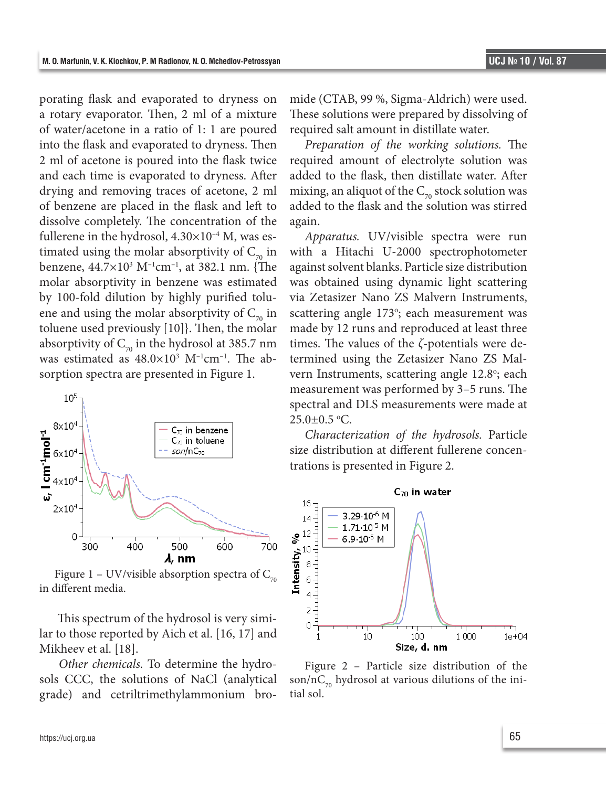porating flask and evaporated to dryness on a rotary evaporator. Then, 2 ml of a mixture of water/acetone in a ratio of 1: 1 are poured into the flask and evaporated to dryness. Then 2 ml of acetone is poured into the flask twice and each time is evaporated to dryness. After drying and removing traces of acetone, 2 ml of benzene are placed in the flask and left to dissolve completely. The concentration of the fullerene in the hydrosol,  $4.30\times10^{-4}$  M, was estimated using the molar absorptivity of  $C_{70}$  in benzene, 44.7×103 M–1cm–1, at 382.1 nm. {The molar absorptivity in benzene was estimated by 100-fold dilution by highly purified toluene and using the molar absorptivity of  $C_{70}$  in toluene used previously [10]}. Then, the molar absorptivity of  $C_{70}$  in the hydrosol at 385.7 nm was estimated as  $48.0\times10^3$  M<sup>-1</sup>cm<sup>-1</sup>. The absorption spectra are presented in Figure 1.



Figure 1 – UV/visible absorption spectra of  $C_{70}$ in different media.

 This spectrum of the hydrosol is very similar to those reported by Aich et al. [16, 17] and Mikheev et al. [18].

*Other chemicals.* To determine the hydrosols CCC, the solutions of NaCl (analytical grade) and cetriltrimethylammonium bromide (CTAB, 99 %, Sigma-Aldrich) were used. These solutions were prepared by dissolving of required salt amount in distillate water.

*Preparation of the working solutions.* The required amount of electrolyte solution was added to the flask, then distillate water. After mixing, an aliquot of the  $C_{70}$  stock solution was added to the flask and the solution was stirred again.

*Apparatus.* UV/visible spectra were run with a Hitachi U-2000 spectrophotometer against solvent blanks. Particle size distribution was obtained using dynamic light scattering via Zetasizer Nano ZS Malvern Instruments, scattering angle 173°; each measurement was made by 12 runs and reproduced at least three times. The values of the *ζ*-potentials were determined using the Zetasizer Nano ZS Malvern Instruments, scattering angle 12.8°; each measurement was performed by 3–5 runs. The spectral and DLS measurements were made at  $25.0 \pm 0.5$  °C.

*Characterization of the hydrosols.* Particle size distribution at different fullerene concentrations is presented in Figure 2.



Figure 2 – Particle size distribution of the son/nC<sub>70</sub> hydrosol at various dilutions of the initial sol.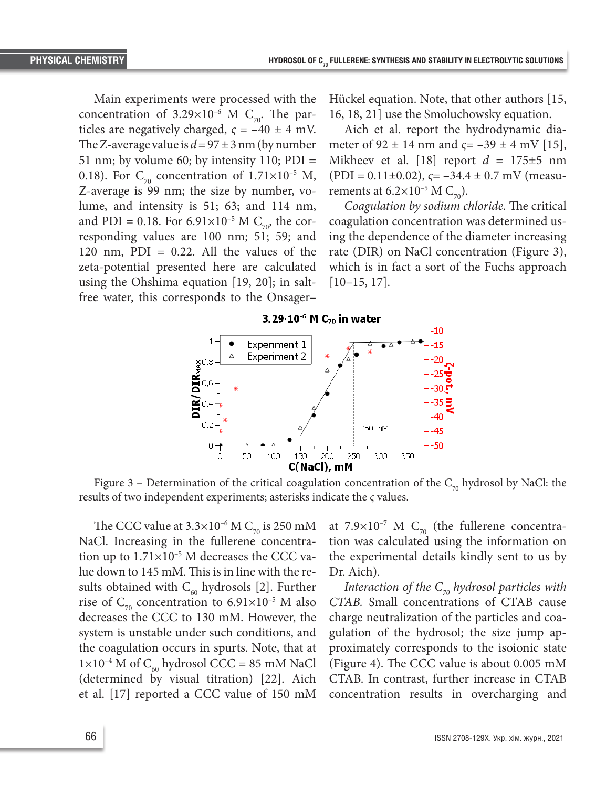Main experiments were processed with the concentration of 3.29×10<sup>-6</sup> M C<sub>70</sub>. The particles are negatively charged,  $\varsigma = -40 \pm 4$  mV. The Z-average value is  $d = 97 \pm 3$  nm (by number 51 nm; by volume 60; by intensity 110; PDI = 0.18). For  $C_{70}$  concentration of 1.71×10<sup>-5</sup> M, Z-average is 99 nm; the size by number, volume, and intensity is 51; 63; and 114 nm, and PDI = 0.18. For 6.91×10<sup>-5</sup> M C<sub>70</sub>, the corresponding values are 100 nm; 51; 59; and 120 nm,  $PDI = 0.22$ . All the values of the zeta-potential presented here are calculated using the Ohshima equation [19, 20]; in saltfree water, this corresponds to the Onsager–

Hückel equation. Note, that other authors [15, 16, 18, 21] use the Smoluchowsky equation.

Aich et al. report the hydrodynamic diameter of 92 ± 14 nm and *ς*= –39 ± 4 mV [15], Mikheev et al. [18] report  $d = 175 \pm 5$  nm (PDI = 0.11±0.02), *ς*= –34.4 ± 0.7 mV (measurements at  $6.2 \times 10^{-5}$  M C<sub>70</sub>).

*Coagulation by sodium chloride.* The critical coagulation concentration was determined using the dependence of the diameter increasing rate (DIR) on NaCl concentration (Figure 3), which is in fact a sort of the Fuchs approach  $[10–15, 17]$ .



Figure 3 – Determination of the critical coagulation concentration of the  $C_{70}$  hydrosol by NaCl: the results of two independent experiments; asterisks indicate the *ς* values.

The CCC value at  $3.3\times10^{-6}$  M C<sub>70</sub> is 250 mM NaCl. Increasing in the fullerene concentration up to  $1.71 \times 10^{-5}$  M decreases the CCC value down to 145 mM. This is in line with the results obtained with  $C_{60}$  hydrosols [2]. Further rise of  $C_{70}$  concentration to 6.91×10<sup>-5</sup> M also decreases the CCC to 130 mM. However, the system is unstable under such conditions, and the coagulation occurs in spurts. Note, that at  $1\times10^{-4}$  M of C<sub>60</sub> hydrosol CCC = 85 mM NaCl (determined by visual titration) [22]. Aich et al. [17] reported a CCC value of 150 mM

at 7.9×10<sup>-7</sup> M C<sub>70</sub> (the fullerene concentration was calculated using the information on the experimental details kindly sent to us by Dr. Aich).

*Interaction of the*  $C_{70}$  *hydrosol particles with CTAB.* Small concentrations of CTAB cause charge neutralization of the particles and coagulation of the hydrosol; the size jump approximately corresponds to the isoionic state (Figure 4). The CCC value is about 0.005 mM CTAB. In contrast, further increase in CTAB concentration results in overcharging and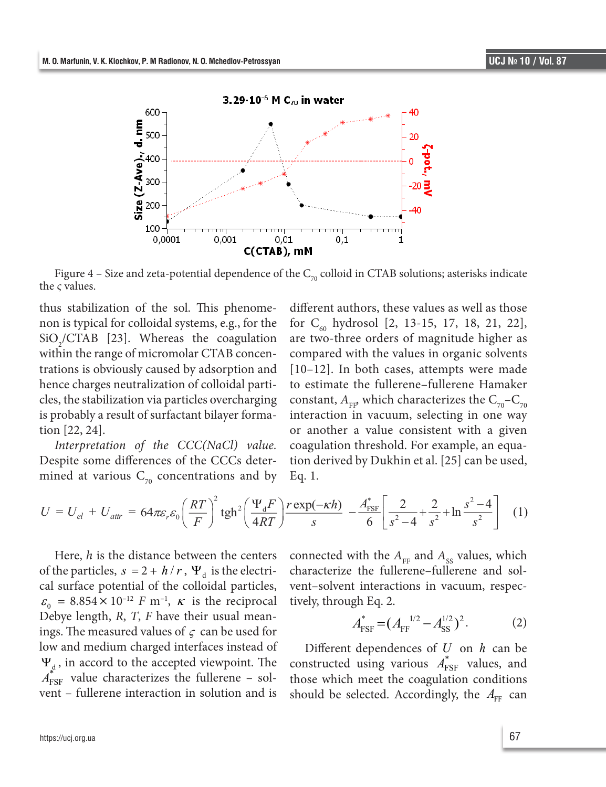

Figure 4 – Size and zeta-potential dependence of the  $C_{70}$  colloid in CTAB solutions; asterisks indicate the *ς* values.  *Interpretation of the CCC(NaCl) value.* Despite some differences of the CCCs determined at

thus stabilization of the sol. This phenomenon is typical for colloidal systems, e.g., for the for  $C_{60}$  hydrosol [2, 13-15, 17, 18, 21, 22],  $SiO_2/CTAB$  [23]. Whereas the coagulation within the range of micromolar CTAB concen- compared with the values in organic solvents trations is obviously caused by adsorption and hence charges neutralization of colloidal parti-<br>to estimate the fullerene-fullerene Hamaker cles, the stabilization via particles overcharging is probably a result of surfactant bilayer formation [22, 24]. is probably a result of surfactant bilayer forma-interaction in vacuum, selecting in one way

Despite some differences of the CCCs determined at various  $C_{70}$  concentrations and by Eq. 1.

*Interpretation of the CCC(NaCl) value.* coagulation threshold. For example, an equadifferent authors, these values as well as those for  $C_{60}$  hydrosol [2, 13-15, 17, 18, 21, 22], are two-three orders of magnitude higher as compared with the values in organic solvents [10–12]. In both cases, attempts were made to estimate the fullerene–fullerene Hamaker constant,  $A_{FF}$ , which characterizes the  $C_{70}$ – $C_{70}$ or another a value consistent with a given coagulation threshold. For example, an equation derived by Dukhin et al. [25] can be used, Eq. 1.

$$
U = U_{el} + U_{attr} = 64\pi\varepsilon_r \varepsilon_0 \left(\frac{RT}{F}\right)^2 \text{tgh}^2 \left(\frac{\Psi_d F}{4RT}\right) \frac{r \exp(-\kappa h)}{s} - \frac{A_{\text{FSF}}^*}{6} \left[\frac{2}{s^2 - 4} + \frac{2}{s^2} + \ln\frac{s^2 - 4}{s^2}\right] \tag{1}
$$

of the particles,  $s = 2 + h/r$ ,  $\Psi_d$  is the electri-<br>characterize the fullerene–fullerene and sol- $\varepsilon_0 = 8.854 \times 10^{-12}$  *F* m<sup>-1</sup>, *k* is the reciprocal tively, through Eq. 2. ings. The measured values of  $\varsigma$  can be used for  $A_{\text{FSF}} - (A_{\text{FF}} - A_{\text{SS}})$ .  $\Psi_{d}$ , in accord to the accepted viewpoint. The constructed using various  $A_{\text{FSF}}^{*}$  values, Here, *h* is the distance between the centers of the particles,  $s = 2 + h/r$ ,  $\Psi_d$  is the electrical surface potential of the colloidal particles, Debye length, *R*, *T*, *F* have their usual meanlow and medium charged interfaces instead of  $A_{\text{FSF}}^{*}$  value characterizes the fullerene – solvent – fullerene interaction in solution and is

, is the reciprocal function of  $\mathbf{r}$  $\frac{1}{2}$  *connected with the*  $A_{\text{FF}}$  *and*  $A_{\text{ss}}$  *values, which* vent–solvent interactions in vacuum, respectively, through Eq. 2.

$$
A_{\rm FSF}^* = (A_{\rm FF}^{-1/2} - A_{\rm SS}^{1/2})^2. \tag{2}
$$

vent – fullerene interaction in solution and is should be selected. Accordingly, the  $A_{FF}$  can constructed using various  $A_{\text{FSF}}^*$  values, and Different dependences of *U* on *h* can be those which meet the coagulation conditions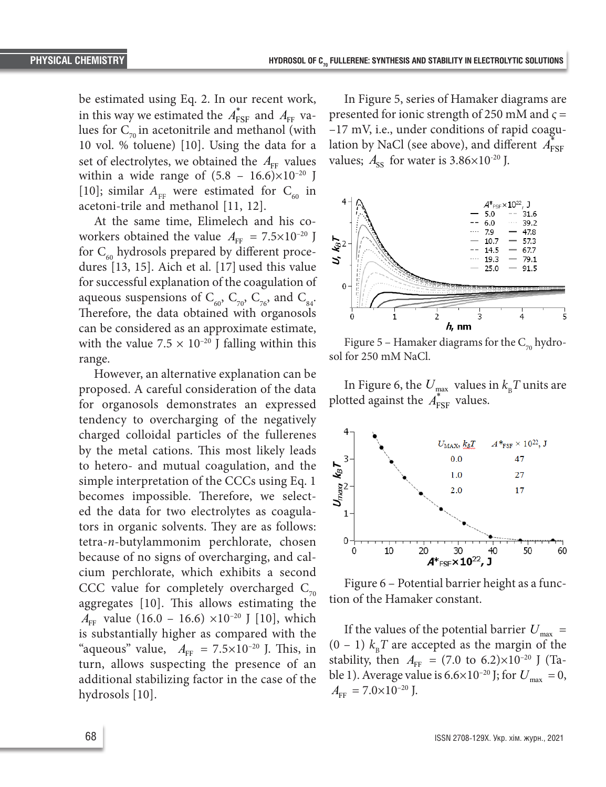be estimated using Eq. 2. In our recent work, in this way we estimated the  $A_{\text{FSF}}^{*}$  and  $A_{\text{FF}}$  values for  $C_{70}$  in acetonitrile and methanol (with 10 vol. % toluene) [10]. Using the data for a set of electrolytes, we obtained the  $A_{FF}$  values within a wide range of  $(5.8 - 16.6) \times 10^{-20}$  J [10]; similar  $A_{\text{FF}}$  were estimated for  $C_{60}$  in acetoni-trile and methanol [11, 12].

At the same time, Elimelech and his coworkers obtained the value  $A_{FF} = 7.5 \times 10^{-20}$  J for  $C_{60}$  hydrosols prepared by different procedures [13, 15]. Aich et al. [17] used this value for successful explanation of the coagulation of aqueous suspensions of  $C_{60}$ ,  $C_{70}$ ,  $C_{76}$ , and  $C_{84}$ . Therefore, the data obtained with organosols can be considered as an approximate estimate, with the value 7.5  $\times$  10<sup>-20</sup> J falling within this range.

However, an alternative explanation can be proposed. A careful consideration of the data for organosols demonstrates an expressed tendency to overcharging of the negatively charged colloidal particles of the fullerenes by the metal cations. This most likely leads to hetero- and mutual coagulation, and the simple interpretation of the CCCs using Eq. 1 becomes impossible. Therefore, we selected the data for two electrolytes as coagulators in organic solvents. They are as follows: tetra-*n*-butylammonim perchlorate, chosen because of no signs of overcharging, and calcium perchlorate, which exhibits a second CCC value for completely overcharged  $C_{70}$ aggregates [10]. This allows estimating the  $A_{\text{FF}}$  value (16.0 – 16.6) ×10<sup>-20</sup> J [10], which is substantially higher as compared with the "aqueous" value,  $A_{FF} = 7.5 \times 10^{-20}$  J. This, in turn, allows suspecting the presence of an additional stabilizing factor in the case of the hydrosols [10].

In Figure 5, series of Hamaker diagrams are presented for ionic strength of 250 mM and *ς* = –17 mV, i.e., under conditions of rapid coagulation by NaCl (see above), and different  $A_{\text{FSF}}$ values;  $A_{\rm ss}$  for water is  $3.86\times10^{-20}$  J.



Figure 5 – Hamaker diagrams for the  $C_{70}$  hydrosol for 250 mM NaCl.

In Figure 6, the  $U_{\text{max}}$  values in  $k_{\text{B}}T$  units are plotted against the  $A^*_{\text{FSF}}$  values.



Figure 6 – Potential barrier height as a function of the Hamaker constant.

If the values of the potential barrier  $U_{\text{max}}$  =  $(0 - 1)$   $k<sub>B</sub>T$  are accepted as the margin of the stability, then  $A_{FF} = (7.0 \text{ to } 6.2) \times 10^{-20} \text{ J}$  (Table 1). Average value is  $6.6 \times 10^{-20}$  J; for  $U_{\text{max}} = 0$ ,  $A_{\text{FF}} = 7.0 \times 10^{-20}$  J.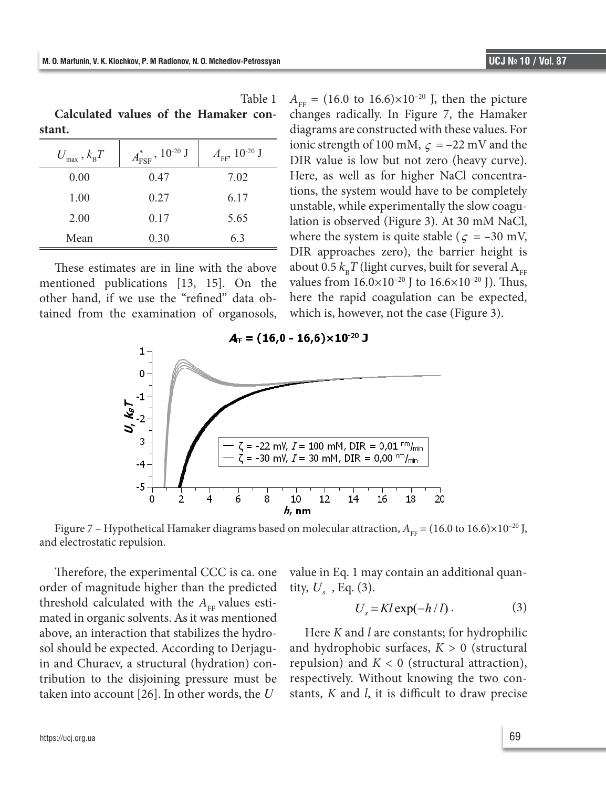**Calculated values of the Hamaker con-**

| stant.                             |                                            |                                       |
|------------------------------------|--------------------------------------------|---------------------------------------|
| $U_{\text{max}}$ , $k_{\text{B}}T$ | $A_{\text{FSF}}^{*}$ , 10 <sup>-20</sup> J | $A_{\text{FF}}$ , 10 <sup>-20</sup> J |
| 0.00                               | 0.47                                       | 7.02                                  |
| 1.00                               | 0.27                                       | 6.17                                  |
| 2.00                               | 0.17                                       | 5.65                                  |
| Mean                               | 0.30                                       | 6.3                                   |

These estimates are in line with the above mentioned publications [13, 15]. On the other hand, if we use the "refined" data obtained from the examination of organosols,

 $A_{\text{FF}} = (16.0 \text{ to } 16.6) \times 10^{-20} \text{ J}$ , then the picture changes radically. In Figure 7, the Hamaker diagrams are constructed with these values. For ionic strength of 100 mM,  $\zeta = -22$  mV and the DIR value is low but not zero (heavy curve). Here, as well as for higher NaCl concentrations, the system would have to be completely unstable, while experimentally the slow coagulation is observed (Figure 3). At 30 mM NaCl, where the system is quite stable ( $\zeta = -30$  mV, DIR approaches zero), the barrier height is about 0.5  $k_{\rm B}T$  (light curves, built for several A<sub>FF</sub> values from  $16.0 \times 10^{-20}$  J to  $16.6 \times 10^{-20}$  J). Thus, here the rapid coagulation can be expected, which is, however, not the case (Figure 3).



Table 1



Therefore, the experimental CCC is ca. one order of magnitude higher than the predicted threshold calculated with the  $A_{\text{FB}}$  values estimated in organic solvents. As it was mentioned above, an interaction that stabilizes the hydrosol should be expected. According to Derjaguin and Churaev, a structural (hydration) contribution to the disjoining pressure must be taken into account [26]. In other words, the *U*

value in Eq. 1 may contain an additional quantity,  $U<sub>s</sub>$ , Eq. (3).

$$
U_s = Kl \exp(-h/l). \tag{3}
$$

Here *K* and *l* are constants; for hydrophilic and hydrophobic surfaces, *K* > 0 (structural repulsion) and  $K < 0$  (structural attraction), respectively. Without knowing the two constants, *K* and *l*, it is difficult to draw precise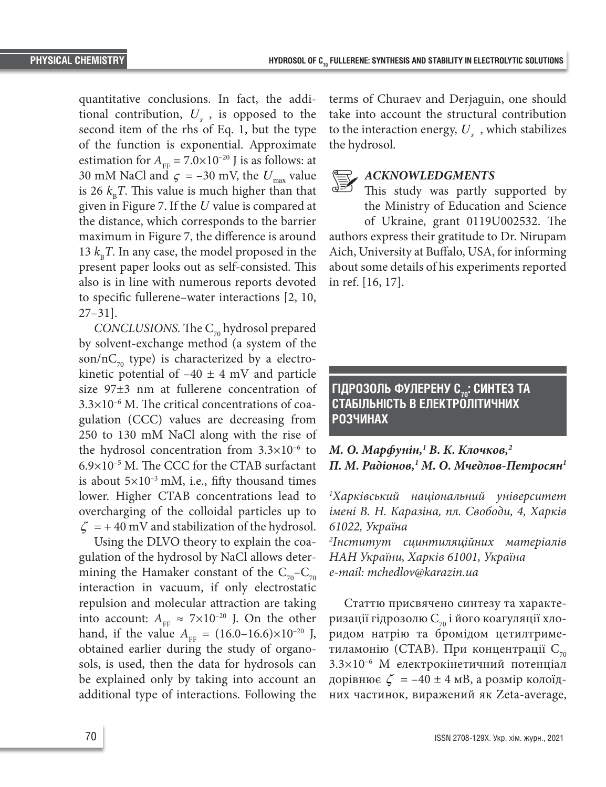quantitative conclusions. In fact, the additional contribution,  $U_s$ , is opposed to the second item of the rhs of Eq. 1, but the type of the function is exponential. Approximate estimation for  $A_{\text{TE}} = 7.0 \times 10^{-20}$  J is as follows: at 30 mM NaCl and  $\varsigma$  = -30 mV, the  $U_{\text{max}}$  value is 26  $k_{B}T$ . This value is much higher than that given in Figure 7. If the *U* value is compared at the distance, which corresponds to the barrier maximum in Figure 7, the difference is around 13  $k_{\rm B}T$ . In any case, the model proposed in the present paper looks out as self-consisted. This also is in line with numerous reports devoted to specific fullerene–water interactions [2, 10, 27–31].

*CONCLUSIONS.* The  $C_{70}$  hydrosol prepared by solvent-exchange method (a system of the son/nC<sub>70</sub> type) is characterized by a electrokinetic potential of  $-40 \pm 4$  mV and particle size 97±3 nm at fullerene concentration of  $3.3\times10^{-6}$  M. The critical concentrations of coagulation (CCC) values are decreasing from 250 to 130 mM NaCl along with the rise of the hydrosol concentration from  $3.3 \times 10^{-6}$  to 6.9×10–5 M. The CCC for the CTAB surfactant is about  $5\times10^{-3}$  mM, i.e., fifty thousand times lower. Higher CTAB concentrations lead to overcharging of the colloidal particles up to  $\zeta$  = +40 mV and stabilization of the hydrosol.

Using the DLVO theory to explain the coagulation of the hydrosol by NaCl allows determining the Hamaker constant of the  $C_{70}$ – $C_{70}$ interaction in vacuum, if only electrostatic repulsion and molecular attraction are taking into account:  $A_{FF} \approx 7 \times 10^{-20}$  J. On the other hand, if the value  $A_{FF} = (16.0-16.6) \times 10^{-20}$  J, obtained earlier during the study of organosols, is used, then the data for hydrosols can be explained only by taking into account an additional type of interactions. Following the

terms of Churaev and Derjaguin, one should take into account the structural contribution to the interaction energy,  $U_s$ , which stabilizes the hydrosol.

#### *ACKNOWLEDGMENTS*

This study was partly supported by the Ministry of Education and Science of Ukraine, grant 0119U002532. The authors express their gratitude to Dr. Nirupam Aich, University at Buffalo, USA, for informing about some details of his experiments reported in ref. [16, 17].

### ГІДРОЗОЛЬ ФУЛЕРЕНУ С<sub>70</sub>: СИНТЕЗ ТА **СТАБІЛЬНІСТЬ В ЕЛЕКТРОЛІТИЧНИХ РОЗЧИНАХ**

## *M. O. Марфунін,1 В. К. Клочков,2 П. M. Радіонов,1 М. О. Мчедлов-Петросян1*

*1 Харківський національний університет імені В. Н. Каразіна, пл. Свободи, 4, Харків 61022, Україна* 

*2 Інститут сцинтиляційних матеріалів НАН України, Харків 61001, Україна e-mail: mchedlov@karazin.ua*

Статтю присвячено синтезу та характеризації гідрозолю  $C_{70}$  і його коагуляції хлоридом натрію та бромідом цетилтриметиламонію (СТАВ). При концентрації С<sub>70</sub> 3.3×10–6 M електрокінетичний потенціал дорівнює  $\zeta = -40 \pm 4$  мВ, а розмір колоїдних частинок, виражений як Zeta-average,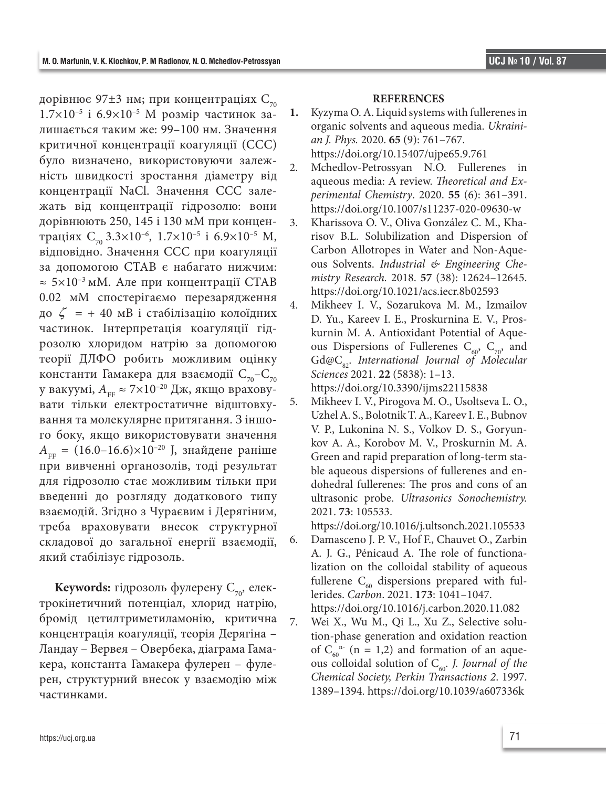дорівнює 97 $\pm$ 3 нм; при концентраціях  $C_{70}$ 1.7×10–5 і 6.9×10–5 M розмір частинок залишається таким же: 99–100 нм. Значення критичної концентрації коагуляції (CCC) було визначено, використовуючи залежність швидкості зростання діаметру від концентрації NaCl. Значення CCC залежать від концентрації гідрозолю: вони дорівнюють 250, 145 і 130 мM при концентраціях  $C_{70}$  3.3×10<sup>-6</sup>, 1.7×10<sup>-5</sup> і 6.9×10<sup>-5</sup> M, відповідно. Значення CCC при коагуляції за допомогою CTAB є набагато нижчим:  $\approx$  5×10<sup>-3</sup> мМ. Але при концентрації СТАВ 0.02 мМ спостерігаємо перезарядження до ζ = + 40 мВ і стабілізацію колоїдних частинок. Інтерпретація коагуляції гідрозолю хлоридом натрію за допомогою теорії ДЛФО робить можливим оцінку константи Гамакера для взаємодії  $C_{70}$ – $C_{70}$ у вакуумі, А<sub>FF</sub> ≈ 7×10<sup>-20</sup> Дж, якщо враховувати тільки електростатичне відштовхування та молекулярне притягання. З іншого боку, якщо використовувати значення  $A_{\text{FB}} = (16.0-16.6) \times 10^{-20}$  J, знайдене раніше при вивченні органозолів, тоді результат для гідрозолю стає можливим тільки при введенні до розгляду додаткового типу взаємодій. Згідно з Чураєвим і Дерягіним, треба враховувати внесок структурної складової до загальної енергії взаємодії, який стабілізує гідрозоль.

**Keywords:** гідрозоль фулерену  $C_{70}$ , електрокінетичний потенціал, хлорид натрію, бромід цетилтриметиламонію, критична концентрація коагуляції, теорія Дерягіна – Ландау – Вервея – Овербека, діаграма Гамакера, константа Гамакера фулерен – фулерен, структурний внесок у взаємодію між частинками.

#### **REFERENCES**

- **1.** Kyzyma O. A. Liquid systems with fullerenes in organic solvents and aqueous media. *Ukrainian J. Phys.* 2020. **65** (9): 761–767. https://doi.org/10.15407/ujpe65.9.761
- 2. Mchedlov-Petrossyan N.O. Fullerenes in aqueous media: A review. *Theoretical and Experimental Chemistry*. 2020. **55** (6): 361–391. https://doi.org/10.1007/s11237-020-09630-w
- 3. Kharissova O. V., Oliva González C. M., Kharisov B.L. Solubilization and Dispersion of Carbon Allotropes in Water and Non-Aqueous Solvents. *Industrial & Engineering Chemistry Research.* 2018. **57** (38): 12624–12645. https://doi.org/10.1021/acs.iecr.8b02593
- 4. Mikheev I. V., Sozarukova M. M., Izmailov D. Yu., Kareev I. E., Proskurnina E. V., Proskurnin M. A. Antioxidant Potential of Aqueous Dispersions of Fullerenes  $C_{60}$ ,  $C_{70}$ , and Gd@C<sub>82</sub>. International Journal of Molecular *Sciences* 2021. **22** (5838): 1–13.

https://doi.org/10.3390/ijms22115838

- 5. Mikheev I. V., Pirogova M. O., Usoltseva L. O., Uzhel A. S., Bolotnik T. A., Kareev I. E., Bubnov V. P., Lukonina N. S., Volkov D. S., Goryunkov A. A., Korobov M. V., Proskurnin M. A. Green and rapid preparation of long-term stable aqueous dispersions of fullerenes and endohedral fullerenes: The pros and cons of an ultrasonic probe. *Ultrasonics Sonochemistry.*  2021. **73**: 105533.
- https://doi.org/10.1016/j.ultsonch.2021.105533 6. Damasceno J. P. V., Hof F., Chauvet O., Zarbin A. J. G., Pénicaud A. The role of functionalization on the colloidal stability of aqueous fullerene  $C_{60}$  dispersions prepared with fullerides. *Carbon*. 2021. **173**: 1041–1047.

https://doi.org/10.1016/j.carbon.2020.11.082

7. Wei X., Wu M., Qi L., Xu Z., Selective solution-phase generation and oxidation reaction of  $C_{60}^{n}$  (n = 1,2) and formation of an aqueous colloidal solution of  $C_{60}$ . *J. Journal of the Chemical Society, Perkin Transactions 2*. 1997. 1389–1394. https://doi.org/10.1039/a607336k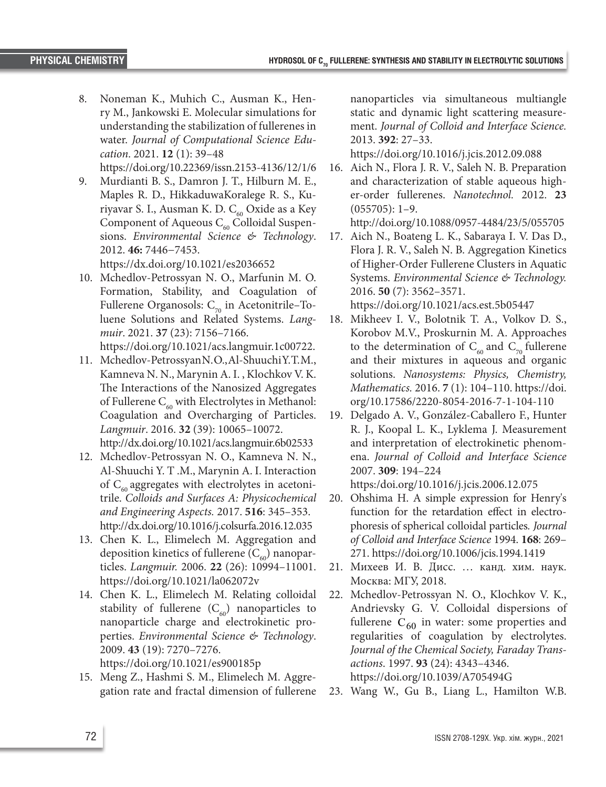- 8. Noneman K., Muhich C., Ausman K., Henry M., Jankowski E. Molecular simulations for understanding the stabilization of fullerenes in water. *Journal of Computational Science Education*. 2021. **12** (1): 39–48
- https://doi.org/10.22369/issn.2153-4136/12/1/6 9. Murdianti B. S., Damron J. T., Hilburn M. E., Maples R. D., HikkaduwaKoralege R. S., Kuriyavar S. I., Ausman K. D. C<sub>60</sub> Oxide as a Key Component of Aqueous  $C_{60}$  Colloidal Suspensions. *Environmental Science & Technology*. 2012. **46:** 7446−7453.

https://dx.doi.org/10.1021/es2036652

10. Mchedlov-Petrossyan N. O., Marfunin M. O. Formation, Stability, and Coagulation of Fullerene Organosols:  $C_{70}$  in Acetonitrile–Toluene Solutions and Related Systems. *Langmuir*. 2021. **37** (23): 7156–7166.

https://doi.org/10.1021/acs.langmuir.1c00722.

- 11. Mchedlov-Petrossyan N. O., Al-Shuuchi Y. T. M., Kamneva N. N., Marynin A. I. , Klochkov V. K. The Interactions of the Nanosized Aggregates of Fullerene  $C_{60}$  with Electrolytes in Methanol: Coagulation and Overcharging of Particles. *Langmuir*. 2016. **32** (39): 10065–10072. http://dx.doi.org/10.1021/acs.langmuir.6b02533
- 12. Mchedlov-Petrossyan N. O., Kamneva N. N., Al-Shuuchi Y. T .M., Marynin A. I. Interaction of  $C_{60}$  aggregates with electrolytes in acetonitrile. *Colloids and Surfaces A: Physicochemical and Engineering Aspects.* 2017. **516**: 345–353. http://dx.doi.org/10.1016/j.colsurfa.2016.12.035
- 13. Chen K. L., Elimelech M. Aggregation and deposition kinetics of fullerene  $(C_{\epsilon 0})$  nanoparticles. *Langmuir.* 2006. **22** (26): 10994–11001. https://doi.org/10.1021/la062072v
- 14. Chen K. L., Elimelech M. Relating colloidal stability of fullerene  $(C_{60})$  nanoparticles to nanoparticle charge and electrokinetic properties. *Environmental Science & Technology*. 2009. **43** (19): 7270–7276. https://doi.org/10.1021/es900185p
- 15. Meng Z., Hashmi S. M., Elimelech M. Aggregation rate and fractal dimension of fullerene

nanoparticles via simultaneous multiangle static and dynamic light scattering measurement. *Journal of Colloid and Interface Science.*  2013. **392**: 27–33.

https://doi.org/10.1016/j.jcis.2012.09.088

16. Aich N., Flora J. R. V., Saleh N. B. Preparation and characterization of stable aqueous higher-order fullerenes. *Nanotechnol.* 2012. **23** (055705): 1–9.

http://doi.org/10.1088/0957-4484/23/5/055705

17. Aich N., Boateng L. K., Sabaraya I. V. Das D., Flora J. R. V., Saleh N. B. Aggregation Kinetics of Higher-Order Fullerene Clusters in Aquatic Systems. *Environmental Science & Technology.* 2016. **50** (7): 3562–3571.

https://doi.org/10.1021/acs.est.5b05447

- 18. Mikheev I. V., Bolotnik T. A., Volkov D. S., Korobov M.V., Proskurnin M. A. Approaches to the determination of  $C_{60}$  and  $C_{70}$  fullerene and their mixtures in aqueous and organic solutions. *Nanosystems: Physics, Chemistry, Mathematics.* 2016. **7** (1): 104–110. https://doi. org/10.17586/2220-8054-2016-7-1-104-110
- 19. Delgado A. V., González-Caballero F., Hunter R. J., Koopal L. K., Lyklema J. Measurement and interpretation of electrokinetic phenomena. *Journal of Colloid and Interface Science* 2007. **309**: 194–224

https:/doi.org/10.1016/j.jcis.2006.12.075

- 20. Ohshima H. A simple expression for Henry's function for the retardation effect in electrophoresis of spherical colloidal particles*. Journal of Colloid and Interface Science* 1994. **168**: 269– 271. https://doi.org/10.1006/jcis.1994.1419
- 21. Михеев И. В. Дисс. … канд. хим. наук. Москва: МГУ, 2018.
- 22. Mchedlov-Petrossyan N. O., Klochkov V. K., Andrievsky G. V. Colloidal dispersions of fullerene  $C_{60}$  in water: some properties and regularities of coagulation by electrolytes. *Journal of the Chemical Society, Faraday Transactions*. 1997. **93** (24): 4343–4346. https://doi.org/10.1039/A705494G
- 23. Wang W., Gu B., Liang L., Hamilton W.B.